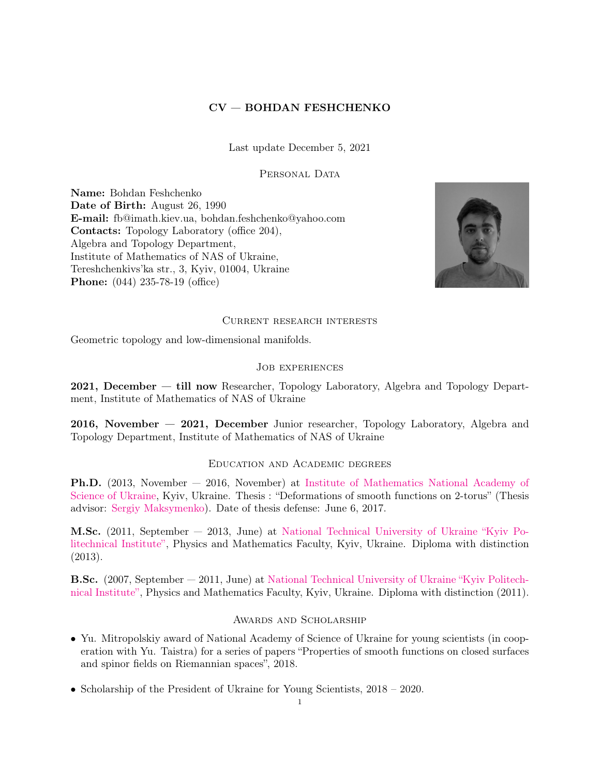# CV — BOHDAN FESHCHENKO

Last update December 5, 2021

### PERSONAL DATA

Name: Bohdan Feshchenko Date of Birth: August 26, 1990 E-mail: fb@imath.kiev.ua, bohdan.feshchenko@yahoo.com Contacts: Topology Laboratory (office 204), Algebra and Topology Department, Institute of Mathematics of NAS of Ukraine, Tereshchenkivs'ka str., 3, Kyiv, 01004, Ukraine Phone: (044) 235-78-19 (office)



#### Current research interests

Geometric topology and low-dimensional manifolds.

### Job experiences

2021, December — till now Researcher, Topology Laboratory, Algebra and Topology Department, Institute of Mathematics of NAS of Ukraine

2016, November — 2021, December Junior researcher, Topology Laboratory, Algebra and Topology Department, Institute of Mathematics of NAS of Ukraine

#### Education and Academic degrees

Ph.D. (2013, November — 2016, November) at [Institute of Mathematics National Academy of](imath.kiev.ua) [Science of Ukraine,](imath.kiev.ua) Kyiv, Ukraine. Thesis : "Deformations of smooth functions on 2-torus" (Thesis advisor: [Sergiy Maksymenko\)](https://www.imath.kiev.ua/~maks/). Date of thesis defense: June 6, 2017.

M.Sc. (2011, September — 2013, June) at [National Technical University of Ukraine "Kyiv Po](https://kpi.ua/)[litechnical Institute",](https://kpi.ua/) Physics and Mathematics Faculty, Kyiv, Ukraine. Diploma with distinction (2013).

B.Sc. (2007, September — 2011, June) at [National Technical University of Ukraine "Kyiv Politech](https://kpi.ua/)[nical Institute",](https://kpi.ua/) Physics and Mathematics Faculty, Kyiv, Ukraine. Diploma with distinction (2011).

#### Awards and Scholarship

- Yu. Mitropolskiy award of National Academy of Science of Ukraine for young scientists (in cooperation with Yu. Taistra) for a series of papers "Properties of smooth functions on closed surfaces and spinor fields on Riemannian spaces", 2018.
- Scholarship of the President of Ukraine for Young Scientists, 2018 2020.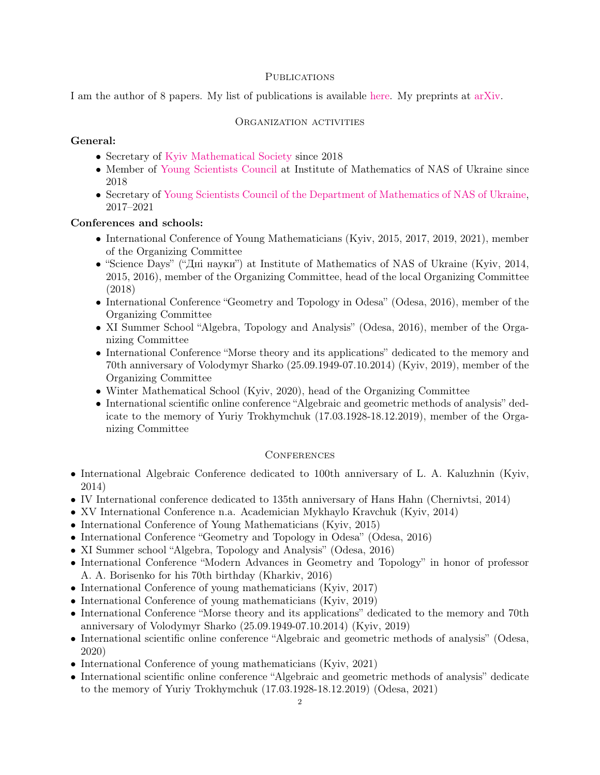## **PUBLICATIONS**

I am the author of 8 papers. My list of publications is available [here.](https://www.imath.kiev.ua/~fb/files/publications.pdf) My preprints at [arXiv.](https://arxiv.org/search/?searchtype=author&query=Feshchenko%2C+B)

## ORGANIZATION ACTIVITIES

## General:

- Secretary of [Kyiv Mathematical Society](http://kms.imath.kiev.ua:8000/) since 2018
- Member of [Young Scientists Council](https://www.imath.kiev.ua/~young) at Institute of Mathematics of NAS of Ukraine since 2018
- Secretary of [Young Scientists Council of the Department of Mathematics of NAS of Ukraine,](http://www.nas.gov.ua/EN/Colegial/Pages/Default.aspx?CID=000000054) 2017–2021

# Conferences and schools:

- International Conference of Young Mathematicians (Kyiv, 2015, 2017, 2019, 2021), member of the Organizing Committee
- "Science Days" ("Дні науки") at Institute of Mathematics of NAS of Ukraine (Kyiv, 2014, 2015, 2016), member of the Organizing Committee, head of the local Organizing Committee (2018)
- International Conference "Geometry and Topology in Odesa" (Odesa, 2016), member of the Organizing Committee
- XI Summer School "Algebra, Topology and Analysis" (Odesa, 2016), member of the Organizing Committee
- International Conference "Morse theory and its applications" dedicated to the memory and 70th anniversary of Volodymyr Sharko (25.09.1949-07.10.2014) (Kyiv, 2019), member of the Organizing Committee
- Winter Mathematical School (Kyiv, 2020), head of the Organizing Committee
- International scientific online conference "Algebraic and geometric methods of analysis" dedicate to the memory of Yuriy Trokhymchuk (17.03.1928-18.12.2019), member of the Organizing Committee

## **CONFERENCES**

- International Algebraic Conference dedicated to 100th anniversary of L. A. Kaluzhnin (Kyiv, 2014)
- IV International conference dedicated to 135th anniversary of Hans Hahn (Chernivtsi, 2014)
- XV International Conference n.a. Academician Mykhaylo Kravchuk (Kyiv, 2014)
- International Conference of Young Mathematicians (Kyiv, 2015)
- International Conference "Geometry and Topology in Odesa" (Odesa, 2016)
- XI Summer school "Algebra, Topology and Analysis" (Odesa, 2016)
- International Conference "Modern Advances in Geometry and Topology" in honor of professor A. A. Borisenko for his 70th birthday (Kharkiv, 2016)
- International Conference of young mathematicians (Kyiv, 2017)
- International Conference of young mathematicians (Kyiv, 2019)
- International Conference "Morse theory and its applications" dedicated to the memory and 70th anniversary of Volodymyr Sharko (25.09.1949-07.10.2014) (Kyiv, 2019)
- International scientific online conference "Algebraic and geometric methods of analysis" (Odesa, 2020)
- International Conference of young mathematicians (Kyiv, 2021)
- International scientific online conference "Algebraic and geometric methods of analysis" dedicate to the memory of Yuriy Trokhymchuk (17.03.1928-18.12.2019) (Odesa, 2021)